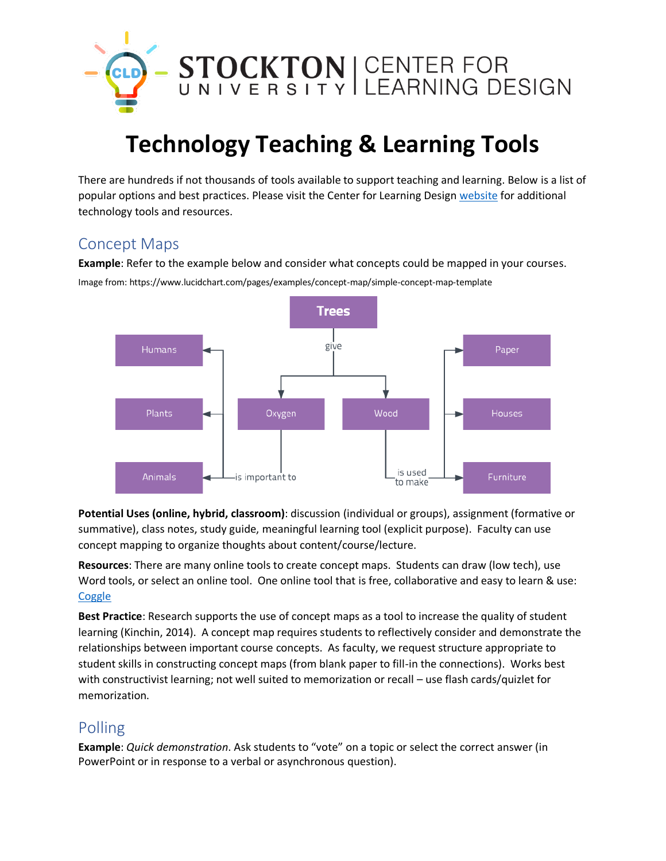

# **Technology Teaching & Learning Tools**

There are hundreds if not thousands of tools available to support teaching and learning. Below is a list of popular options and best practices. Please visit the Center for Learning Design [website](https://stockton.edu/cld/) for additional technology tools and resources.

# Concept Maps

**Example**: Refer to the example below and consider what concepts could be mapped in your courses. Image from: https://www.lucidchart.com/pages/examples/concept-map/simple-concept-map-template



**Potential Uses (online, hybrid, classroom)**: discussion (individual or groups), assignment (formative or summative), class notes, study guide, meaningful learning tool (explicit purpose). Faculty can use concept mapping to organize thoughts about content/course/lecture.

**Resources**: There are many online tools to create concept maps. Students can draw (low tech), use Word tools, or select an online tool. One online tool that is free, collaborative and easy to learn & use: **[Coggle](https://coggle.it/?lang=en-US)** 

**Best Practice**: Research supports the use of concept maps as a tool to increase the quality of student learning (Kinchin, 2014). A concept map requires students to reflectively consider and demonstrate the relationships between important course concepts. As faculty, we request structure appropriate to student skills in constructing concept maps (from blank paper to fill-in the connections). Works best with constructivist learning; not well suited to memorization or recall – use flash cards/quizlet for memorization.

# Polling

**Example**: *Quick demonstration*. Ask students to "vote" on a topic or select the correct answer (in PowerPoint or in response to a verbal or asynchronous question).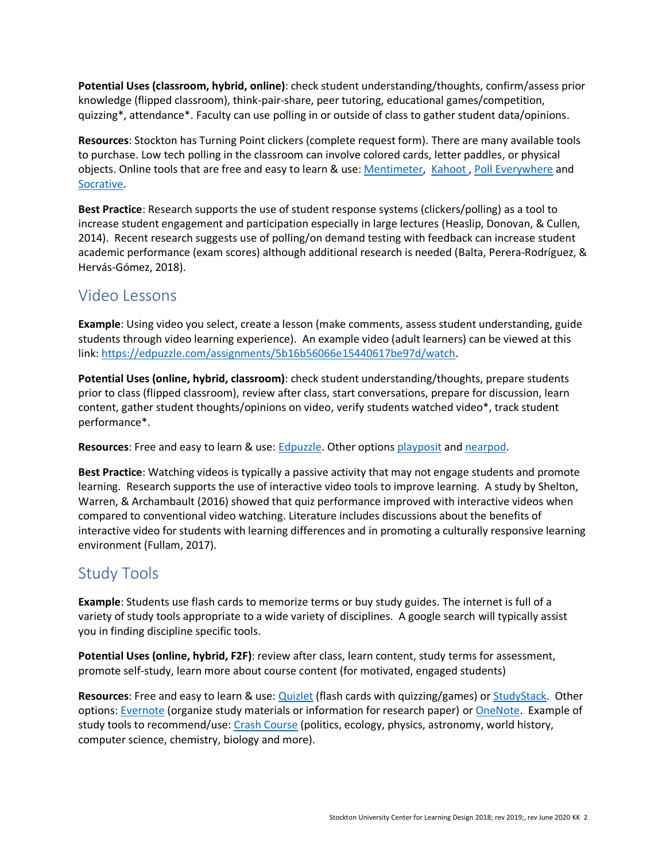**Potential Uses (classroom, hybrid, online)**: check student understanding/thoughts, confirm/assess prior knowledge (flipped classroom), think-pair-share, peer tutoring, educational games/competition, quizzing\*, attendance\*. Faculty can use polling in or outside of class to gather student data/opinions.

**Resources**: Stockton has Turning Point clickers (complete request form). There are many available tools to purchase. Low tech polling in the classroom can involve colored cards, letter paddles, or physical objects. Online tools that are free and easy to learn & use: [Mentimeter,](https://www.mentimeter.com/) Kahoot, [Poll Everywhere](https://www.polleverywhere.com/) and [Socrative.](https://socrative.com/)

**Best Practice**: Research supports the use of student response systems (clickers/polling) as a tool to increase student engagement and participation especially in large lectures (Heaslip, Donovan, & Cullen, 2014). Recent research suggests use of polling/on demand testing with feedback can increase student academic performance (exam scores) although additional research is needed (Balta, Perera-Rodríguez, & Hervás-Gómez, 2018).

#### Video Lessons

**Example**: Using video you select, create a lesson (make comments, assess student understanding, guide students through video learning experience). An example video (adult learners) can be viewed at this link[: https://edpuzzle.com/assignments/5b16b56066e15440617be97d/watch.](https://edpuzzle.com/assignments/5b16b56066e15440617be97d/watch)

**Potential Uses (online, hybrid, classroom)**: check student understanding/thoughts, prepare students prior to class (flipped classroom), review after class, start conversations, prepare for discussion, learn content, gather student thoughts/opinions on video, verify students watched video\*, track student performance\*.

**Resources**: Free and easy to learn & use: [Edpuzzle.](https://edpuzzle.com/) Other options [playposit](https://learn.playposit.com/learn/) and [nearpod.](https://nearpod.com/)

**Best Practice**: Watching videos is typically a passive activity that may not engage students and promote learning. Research supports the use of interactive video tools to improve learning. A study by Shelton, Warren, & Archambault (2016) showed that quiz performance improved with interactive videos when compared to conventional video watching. Literature includes discussions about the benefits of interactive video for students with learning differences and in promoting a culturally responsive learning environment (Fullam, 2017).

## Study Tools

**Example**: Students use flash cards to memorize terms or buy study guides. The internet is full of a variety of study tools appropriate to a wide variety of disciplines. A google search will typically assist you in finding discipline specific tools.

**Potential Uses (online, hybrid, F2F)**: review after class, learn content, study terms for assessment, promote self-study, learn more about course content (for motivated, engaged students)

**Resources**: Free and easy to learn & use: [Quizlet](https://quizlet.com/) (flash cards with quizzing/games) o[r StudyStack.](https://www.studystack.com/) Other options: [Evernote](https://evernote.com/) (organize study materials or information for research paper) or [OneNote.](https://onenoteforteachers.com/) Example of study tools to recommend/use: [Crash Course](https://www.pbslearningmedia.org/collection/crash-course/#.W0y9fNJKhPZ) (politics, ecology, physics, astronomy, world history, computer science, chemistry, biology and more).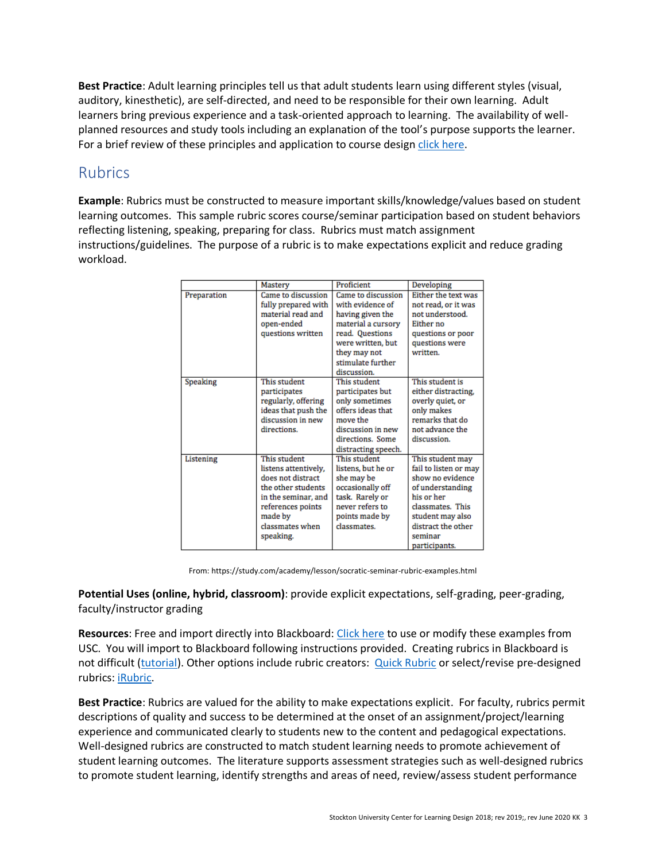**Best Practice**: Adult learning principles tell us that adult students learn using different styles (visual, auditory, kinesthetic), are self-directed, and need to be responsible for their own learning. Adult learners bring previous experience and a task-oriented approach to learning. The availability of wellplanned resources and study tools including an explanation of the tool's purpose supports the learner. For a brief review of these principles and application to course desig[n click here.](https://www.nhi.fhwa.dot.gov/downloads/freebies/172/PR%20Pre-course%20Reading%20Assignment.pdf)

### Rubrics

**Example**: Rubrics must be constructed to measure important skills/knowledge/values based on student learning outcomes. This sample rubric scores course/seminar participation based on student behaviors reflecting listening, speaking, preparing for class. Rubrics must match assignment instructions/guidelines. The purpose of a rubric is to make expectations explicit and reduce grading workload.

|             |                      | Proficient          |                       |
|-------------|----------------------|---------------------|-----------------------|
|             | Mastery              |                     | Developing            |
| Preparation | Came to discussion   | Came to discussion  | Either the text was   |
|             | fully prepared with  | with evidence of    | not read, or it was   |
|             | material read and    | having given the    | not understood.       |
|             | open-ended           | material a cursory  | Either no             |
|             | questions written    | read. Questions     | questions or poor     |
|             |                      | were written, but   | questions were        |
|             |                      | they may not        | written.              |
|             |                      | stimulate further   |                       |
|             |                      | discussion.         |                       |
| Speaking    | This student         | This student        | This student is       |
|             | participates         | participates but    | either distracting,   |
|             | regularly, offering  | only sometimes      | overly quiet, or      |
|             | ideas that push the  | offers ideas that   | only makes            |
|             | discussion in new    | move the            | remarks that do       |
|             | directions.          | discussion in new   | not advance the       |
|             |                      | directions. Some    | discussion.           |
|             |                      | distracting speech. |                       |
| Listening   | This student         | This student        | This student may      |
|             | listens attentively, | listens, but he or  | fail to listen or may |
|             | does not distract    | she may be          | show no evidence      |
|             | the other students   | occasionally off    | of understanding      |
|             | in the seminar, and  | task. Rarely or     | his or her            |
|             | references points    | never refers to     | classmates. This      |
|             | made by              | points made by      | student may also      |
|             | classmates when      | classmates.         | distract the other    |
|             | speaking.            |                     | seminar               |
|             |                      |                     | participants.         |

From: https://study.com/academy/lesson/socratic-seminar-rubric-examples.html

**Potential Uses (online, hybrid, classroom)**: provide explicit expectations, self-grading, peer-grading, faculty/instructor grading

**Resources**: Free and import directly into Blackboard: [Click here](https://blackboardhelp.usc.edu/sample-rubrics/) to use or modify these examples from USC. You will import to Blackboard following instructions provided. Creating rubrics in Blackboard is not difficult [\(tutorial\)](https://help.blackboard.com/Learn/Instructor/Grade/Rubrics). Other options include rubric creators: [Quick Rubric](https://www.quickrubric.com/) or select/revise pre-designed rubrics: [iRubric.](https://www.rcampus.com/indexrubric.cfm?utm_campaign=elearningindustry.com&utm_source=%2Fthe-5-best-free-rubric-making-tools-for-teachers&utm_medium=link)

**Best Practice**: Rubrics are valued for the ability to make expectations explicit. For faculty, rubrics permit descriptions of quality and success to be determined at the onset of an assignment/project/learning experience and communicated clearly to students new to the content and pedagogical expectations. Well-designed rubrics are constructed to match student learning needs to promote achievement of student learning outcomes. The literature supports assessment strategies such as well-designed rubrics to promote student learning, identify strengths and areas of need, review/assess student performance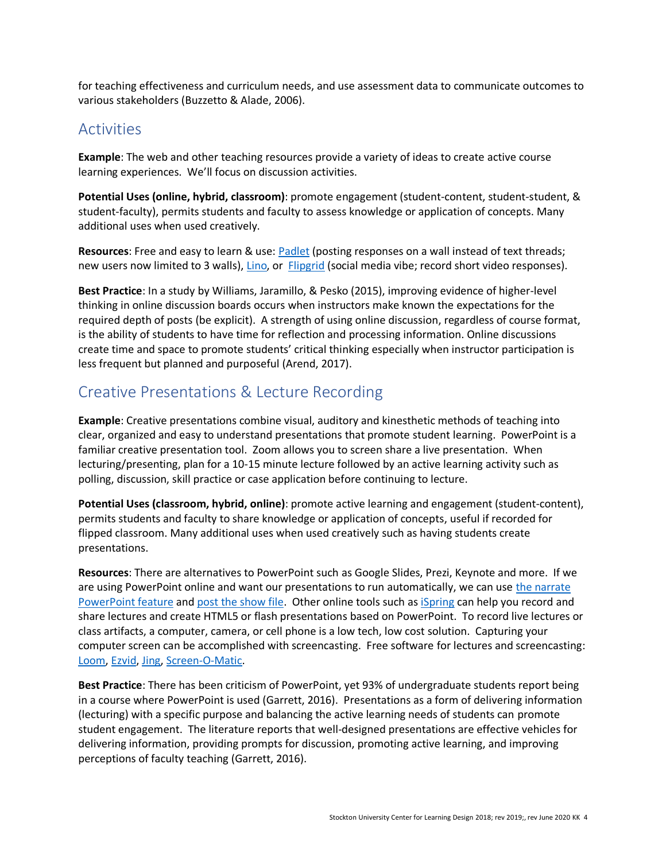for teaching effectiveness and curriculum needs, and use assessment data to communicate outcomes to various stakeholders (Buzzetto & Alade, 2006).

#### **Activities**

**Example**: The web and other teaching resources provide a variety of ideas to create active course learning experiences. We'll focus on discussion activities.

**Potential Uses (online, hybrid, classroom)**: promote engagement (student-content, student-student, & student-faculty), permits students and faculty to assess knowledge or application of concepts. Many additional uses when used creatively.

Resources: Free and easy to learn & use: [Padlet](https://padlet.com/) (posting responses on a wall instead of text threads; new users now limited to 3 walls), *Lino*, or *[Flipgrid](https://info.flipgrid.com/)* (social media vibe; record short video responses).

**Best Practice**: In a study by Williams, Jaramillo, & Pesko (2015), improving evidence of higher-level thinking in online discussion boards occurs when instructors make known the expectations for the required depth of posts (be explicit). A strength of using online discussion, regardless of course format, is the ability of students to have time for reflection and processing information. Online discussions create time and space to promote students' critical thinking especially when instructor participation is less frequent but planned and purposeful (Arend, 2017).

#### Creative Presentations & Lecture Recording

**Example**: Creative presentations combine visual, auditory and kinesthetic methods of teaching into clear, organized and easy to understand presentations that promote student learning. PowerPoint is a familiar creative presentation tool. Zoom allows you to screen share a live presentation. When lecturing/presenting, plan for a 10-15 minute lecture followed by an active learning activity such as polling, discussion, skill practice or case application before continuing to lecture.

**Potential Uses (classroom, hybrid, online)**: promote active learning and engagement (student-content), permits students and faculty to share knowledge or application of concepts, useful if recorded for flipped classroom. Many additional uses when used creatively such as having students create presentations.

**Resources**: There are alternatives to PowerPoint such as Google Slides, Prezi, Keynote and more. If we are using PowerPoint online and want our presentations to run automatically, we can use the narrate [PowerPoint feature](https://www.dummies.com/software/microsoft-office/powerpoint/how-to-record-voice-narration-for-your-powerpoint-2016-presentation/) and [post the show file.](https://support.office.com/en-us/article/turn-your-presentation-into-a-video-c140551f-cb37-4818-b5d4-3e30815c3e83) Other online tools such as [iSpring](https://www.ispringsolutions.com/online-presentations) can help you record and share lectures and create HTML5 or flash presentations based on PowerPoint. To record live lectures or class artifacts, a computer, camera, or cell phone is a low tech, low cost solution. Capturing your computer screen can be accomplished with screencasting. Free software for lectures and screencasting: [Loom,](https://www.loom.com/) [Ezvid,](https://www.ezvid.com/) [Jing,](https://www.techsmith.com/jing-tool.html) [Screen-O-Matic.](https://screencast-o-matic.com/education)

**Best Practice**: There has been criticism of PowerPoint, yet 93% of undergraduate students report being in a course where PowerPoint is used (Garrett, 2016). Presentations as a form of delivering information (lecturing) with a specific purpose and balancing the active learning needs of students can promote student engagement. The literature reports that well-designed presentations are effective vehicles for delivering information, providing prompts for discussion, promoting active learning, and improving perceptions of faculty teaching (Garrett, 2016).